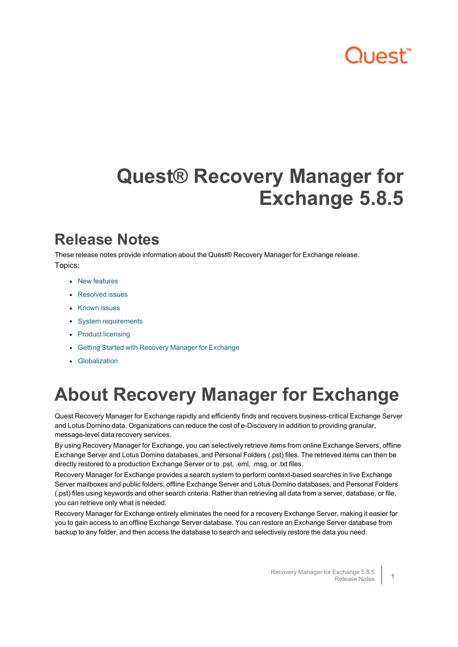# "ו>םו ור"

# **Quest® Recovery Manager for Exchange 5.8.5**

## **Release Notes**

These release notes provide information about the Quest® Recovery Manager for Exchange release. Topics:

- New [features](#page-2-0)
- [Resolved](#page-3-0) issues
- [Known](#page-3-1) issues
- System [requirements](#page-15-0)
- Product [licensing](#page-22-0)
- Getting Started with Recovery Manager for [Exchange](#page-23-0)
- **•** [Globalization](#page-23-1)

# **About Recovery Manager for Exchange**

Quest Recovery Manager for Exchange rapidly and efficiently finds and recovers business-critical Exchange Server and Lotus Domino data. Organizations can reduce the cost of e-Discovery in addition to providing granular, message-level data recovery services.

By using Recovery Manager for Exchange, you can selectively retrieve items from online Exchange Servers, offline Exchange Server and Lotus Domino databases, and Personal Folders (.pst) files. The retrieved items can then be directly restored to a production Exchange Server or to .pst, .eml, .msg, or .txt files.

Recovery Manager for Exchange provides a search system to perform context-based searches in live Exchange Server mailboxes and public folders, offline Exchange Server and Lotus Domino databases, and Personal Folders (.pst) files using keywords and other search criteria. Rather than retrieving all data from a server, database, or file, you can retrieve only what is needed.

Recovery Manager for Exchange entirely eliminates the need for a recovery Exchange Server, making it easier for you to gain access to an offline Exchange Server database. You can restore an Exchange Server database from backup to any folder, and then access the database to search and selectively restore the data you need.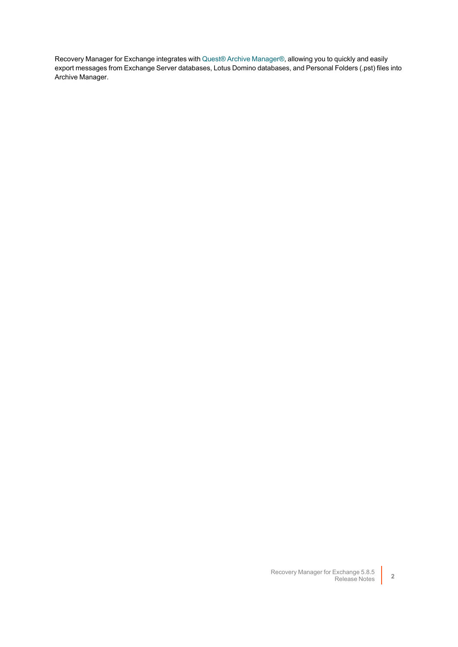Recovery Manager for Exchange integrates with Quest® Archive [Manager®,](https://www.quest.com/products/archive-manager/) allowing you to quickly and easily export messages from Exchange Server databases, Lotus Domino databases, and Personal Folders (.pst) files into Archive Manager.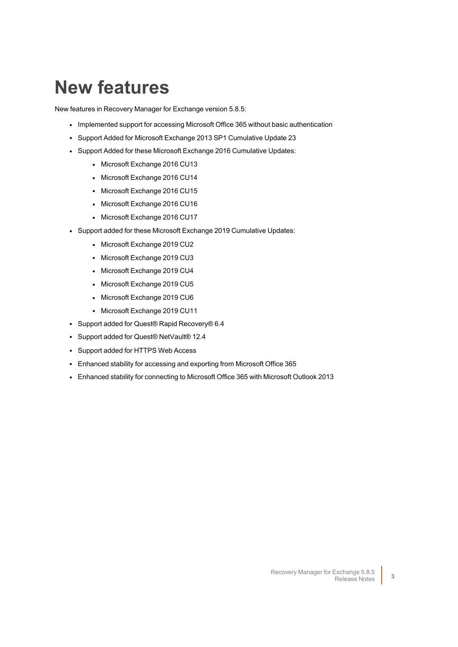# <span id="page-2-0"></span>**New features**

New features in Recovery Manager for Exchange version 5.8.5:

- Implemented support for accessing Microsoft Office 365 without basic authentication
- Support Added for Microsoft Exchange 2013 SP1 Cumulative Update 23
- Support Added for these Microsoft Exchange 2016 Cumulative Updates:
	- Microsoft Exchange 2016 CU13
	- Microsoft Exchange 2016 CU14
	- Microsoft Exchange 2016 CU15
	- Microsoft Exchange 2016 CU16
	- Microsoft Exchange 2016 CU17
- Support added for these Microsoft Exchange 2019 Cumulative Updates:
	- Microsoft Exchange 2019 CU2
	- Microsoft Exchange 2019 CU3
	- Microsoft Exchange 2019 CU4
	- Microsoft Exchange 2019 CU5
	- Microsoft Exchange 2019 CU6
	- Microsoft Exchange 2019 CU11
- Support added for Quest® Rapid Recovery® 6.4
- Support added for Quest® NetVault® 12.4
- Support added for HTTPS Web Access
- Enhanced stability for accessing and exporting from Microsoft Office 365
- Enhanced stability for connecting to Microsoft Office 365 with Microsoft Outlook 2013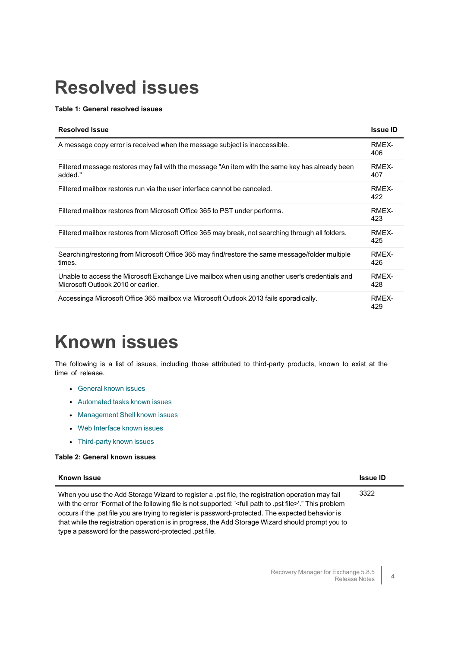# <span id="page-3-0"></span>**Resolved issues**

### **Table 1: General resolved issues**

| <b>Resolved Issue</b>                                                                                                                | <b>Issue ID</b> |
|--------------------------------------------------------------------------------------------------------------------------------------|-----------------|
| A message copy error is received when the message subject is inaccessible.                                                           | RMEX-<br>406    |
| Filtered message restores may fail with the message "An item with the same key has already been<br>added."                           | RMEX-<br>407    |
| Filtered mailbox restores run via the user interface cannot be canceled.                                                             | RMEX-<br>422    |
| Filtered mailbox restores from Microsoft Office 365 to PST under performs.                                                           | RMEX-<br>423    |
| Filtered mailbox restores from Microsoft Office 365 may break, not searching through all folders.                                    | RMEX-<br>425    |
| Searching/restoring from Microsoft Office 365 may find/restore the same message/folder multiple<br>times.                            | RMEX-<br>426    |
| Unable to access the Microsoft Exchange Live mailbox when using another user's credentials and<br>Microsoft Outlook 2010 or earlier. | RMEX-<br>428    |
| Accessinga Microsoft Office 365 mailbox via Microsoft Outlook 2013 fails sporadically.                                               | RMEX-<br>429    |

# <span id="page-3-1"></span>**Known issues**

The following is a list of issues, including those attributed to third-party products, known to exist at the time of release.

- **•** [General](#page-3-2) known issues
- [Automated](#page-9-0) tasks known issues
- [Management](#page-10-0) Shell known issues
- Web [Interface](#page-11-0) known issues
- [Third-party](#page-12-0) known issues

#### <span id="page-3-2"></span>**Table 2: General known issues**

| <b>Known Issue</b>                                                                                                                                                                                                                                                                                                                                                                                                                                                                                     | <b>Issue ID</b> |
|--------------------------------------------------------------------------------------------------------------------------------------------------------------------------------------------------------------------------------------------------------------------------------------------------------------------------------------------------------------------------------------------------------------------------------------------------------------------------------------------------------|-----------------|
| When you use the Add Storage Wizard to register a .pst file, the registration operation may fail<br>with the error "Format of the following file is not supported: ' <full .pst="" file="" path="" to="">'." This problem<br/>occurs if the pst file you are trying to register is password-protected. The expected behavior is<br/>that while the registration operation is in progress, the Add Storage Wizard should prompt you to<br/>type a password for the password-protected .pst file.</full> | 3322            |
|                                                                                                                                                                                                                                                                                                                                                                                                                                                                                                        |                 |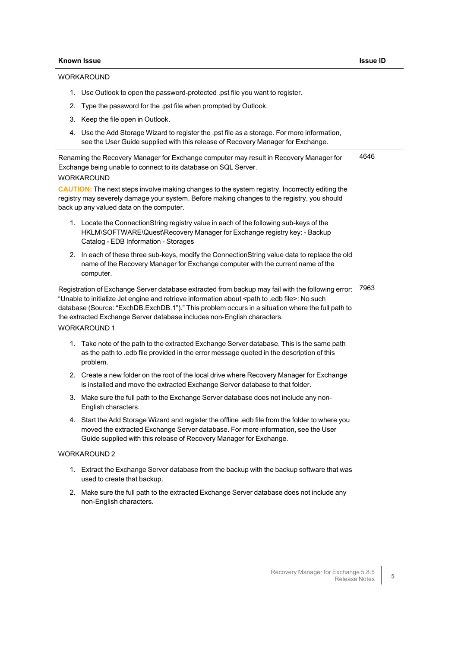#### **WORKAROUND**

- 1. Use Outlook to open the password-protected .pst file you want to register.
- 2. Type the password for the .pst file when prompted by Outlook.
- 3. Keep the file open in Outlook.
- 4. Use the Add Storage Wizard to register the .pst file as a storage. For more information, see the User Guide supplied with this release of Recovery Manager for Exchange.

Renaming the Recovery Manager for Exchange computer may result in Recovery Manager for Exchange being unable to connect to its database on SQL Server. WORKAROUND 4646

**CAUTION:** The next steps involve making changes to the system registry. Incorrectly editing the registry may severely damage your system. Before making changes to the registry, you should back up any valued data on the computer.

- 1. Locate the ConnectionString registry value in each of the following sub-keys of the HKLM\SOFTWARE\Quest\Recovery Manager for Exchange registry key: - Backup Catalog - EDB Information - Storages
- 2. In each of these three sub-keys, modify the ConnectionString value data to replace the old name of the Recovery Manager for Exchange computer with the current name of the computer.

Registration of Exchange Server database extracted from backup may fail with the following error: 7963 "Unable to initialize Jet engine and retrieve information about <path to .edb file>: No such database (Source: "ExchDB.ExchDB.1")." This problem occurs in a situation where the full path to the extracted Exchange Server database includes non-English characters. WORKAROUND 1

- 1. Take note of the path to the extracted Exchange Server database. This is the same path as the path to .edb file provided in the error message quoted in the description of this problem.
- 2. Create a new folder on the root of the local drive where Recovery Manager for Exchange is installed and move the extracted Exchange Server database to that folder.
- 3. Make sure the full path to the Exchange Server database does not include any non-English characters.
- 4. Start the Add Storage Wizard and register the offline .edb file from the folder to where you moved the extracted Exchange Server database. For more information, see the User Guide supplied with this release of Recovery Manager for Exchange.

#### WORKAROUND 2

- 1. Extract the Exchange Server database from the backup with the backup software that was used to create that backup.
- 2. Make sure the full path to the extracted Exchange Server database does not include any non-English characters.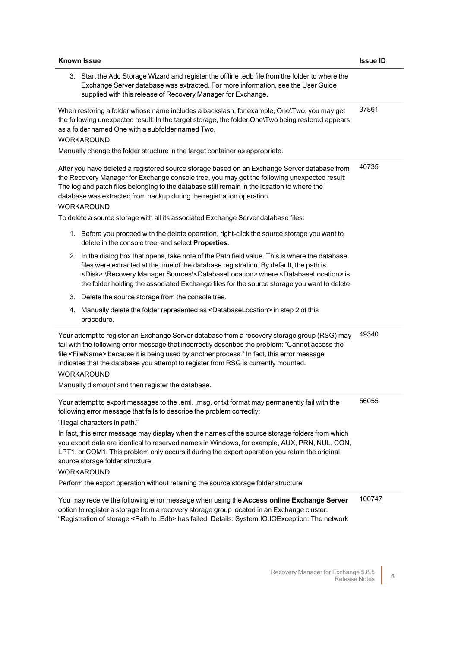| <b>Known Issue</b>                                                                                                                                                                                                                                                                                                                                                                                                                                                                                                                                                                                                                                                                                                                                                                                                                                                                                                                                                                                                                                                                                                                                                                                                                               | <b>Issue ID</b> |
|--------------------------------------------------------------------------------------------------------------------------------------------------------------------------------------------------------------------------------------------------------------------------------------------------------------------------------------------------------------------------------------------------------------------------------------------------------------------------------------------------------------------------------------------------------------------------------------------------------------------------------------------------------------------------------------------------------------------------------------------------------------------------------------------------------------------------------------------------------------------------------------------------------------------------------------------------------------------------------------------------------------------------------------------------------------------------------------------------------------------------------------------------------------------------------------------------------------------------------------------------|-----------------|
| 3. Start the Add Storage Wizard and register the offline .edb file from the folder to where the<br>Exchange Server database was extracted. For more information, see the User Guide<br>supplied with this release of Recovery Manager for Exchange.                                                                                                                                                                                                                                                                                                                                                                                                                                                                                                                                                                                                                                                                                                                                                                                                                                                                                                                                                                                              |                 |
| When restoring a folder whose name includes a backslash, for example, One\Two, you may get<br>the following unexpected result: In the target storage, the folder One\Two being restored appears<br>as a folder named One with a subfolder named Two.<br><b>WORKAROUND</b><br>Manually change the folder structure in the target container as appropriate.                                                                                                                                                                                                                                                                                                                                                                                                                                                                                                                                                                                                                                                                                                                                                                                                                                                                                        | 37861           |
| After you have deleted a registered source storage based on an Exchange Server database from<br>the Recovery Manager for Exchange console tree, you may get the following unexpected result:<br>The log and patch files belonging to the database still remain in the location to where the<br>database was extracted from backup during the registration operation.<br><b>WORKAROUND</b><br>To delete a source storage with all its associated Exchange Server database files:<br>1. Before you proceed with the delete operation, right-click the source storage you want to<br>delete in the console tree, and select Properties.<br>2. In the dialog box that opens, take note of the Path field value. This is where the database<br>files were extracted at the time of the database registration. By default, the path is<br><disk>:\Recovery Manager Sources\<databaselocation> where <databaselocation> is<br/>the folder holding the associated Exchange files for the source storage you want to delete.<br/>3. Delete the source storage from the console tree.<br/>4. Manually delete the folder represented as <databaselocation> in step 2 of this<br/>procedure.</databaselocation></databaselocation></databaselocation></disk> | 40735           |
| Your attempt to register an Exchange Server database from a recovery storage group (RSG) may<br>fail with the following error message that incorrectly describes the problem: "Cannot access the<br>file <filename> because it is being used by another process." In fact, this error message<br/>indicates that the database you attempt to register from RSG is currently mounted.<br/><b>WORKAROUND</b><br/>Manually dismount and then register the database.</filename>                                                                                                                                                                                                                                                                                                                                                                                                                                                                                                                                                                                                                                                                                                                                                                      | 49340           |
| Your attempt to export messages to the .eml, .msg, or txt format may permanently fail with the<br>following error message that fails to describe the problem correctly:<br>"Illegal characters in path."<br>In fact, this error message may display when the names of the source storage folders from which<br>you export data are identical to reserved names in Windows, for example, AUX, PRN, NUL, CON,<br>LPT1, or COM1. This problem only occurs if during the export operation you retain the original<br>source storage folder structure.<br><b>WORKAROUND</b><br>Perform the export operation without retaining the source storage folder structure.                                                                                                                                                                                                                                                                                                                                                                                                                                                                                                                                                                                    | 56055           |
| You may receive the following error message when using the Access online Exchange Server<br>option to register a storage from a recovery storage group located in an Exchange cluster:<br>"Registration of storage <path .edb="" to=""> has failed. Details: System.IO.IOException: The network</path>                                                                                                                                                                                                                                                                                                                                                                                                                                                                                                                                                                                                                                                                                                                                                                                                                                                                                                                                           | 100747          |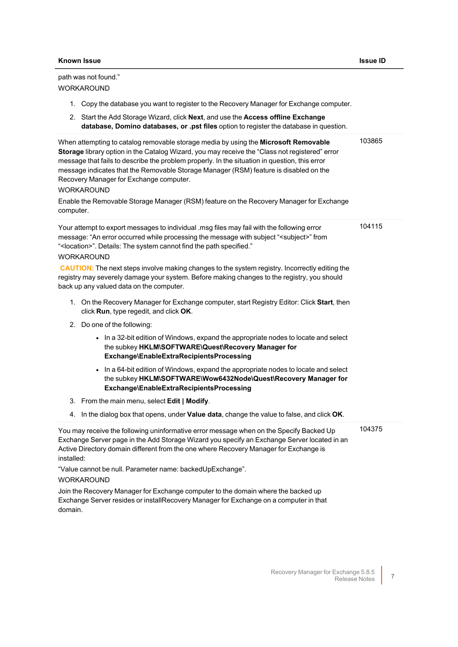path was not found."

| <b>WORKAROUND</b>                                                                                                                                                                                                                                                                                                                                                                                                                                                                                                                                       |        |
|---------------------------------------------------------------------------------------------------------------------------------------------------------------------------------------------------------------------------------------------------------------------------------------------------------------------------------------------------------------------------------------------------------------------------------------------------------------------------------------------------------------------------------------------------------|--------|
| 1. Copy the database you want to register to the Recovery Manager for Exchange computer.                                                                                                                                                                                                                                                                                                                                                                                                                                                                |        |
| 2. Start the Add Storage Wizard, click Next, and use the Access offline Exchange<br>database, Domino databases, or .pst files option to register the database in question.                                                                                                                                                                                                                                                                                                                                                                              |        |
| When attempting to catalog removable storage media by using the Microsoft Removable<br>Storage library option in the Catalog Wizard, you may receive the "Class not registered" error<br>message that fails to describe the problem properly. In the situation in question, this error<br>message indicates that the Removable Storage Manager (RSM) feature is disabled on the<br>Recovery Manager for Exchange computer.<br><b>WORKAROUND</b><br>Enable the Removable Storage Manager (RSM) feature on the Recovery Manager for Exchange<br>computer. | 103865 |
| Your attempt to export messages to individual .msg files may fail with the following error<br>message: "An error occurred while processing the message with subject " <subject>" from<br/>"<location>". Details: The system cannot find the path specified."<br/><b>WORKAROUND</b></location></subject>                                                                                                                                                                                                                                                 | 104115 |
| <b>CAUTION:</b> The next steps involve making changes to the system registry. Incorrectly editing the<br>registry may severely damage your system. Before making changes to the registry, you should<br>back up any valued data on the computer.                                                                                                                                                                                                                                                                                                        |        |
| 1. On the Recovery Manager for Exchange computer, start Registry Editor: Click Start, then<br>click Run, type regedit, and click OK.                                                                                                                                                                                                                                                                                                                                                                                                                    |        |
| 2. Do one of the following:                                                                                                                                                                                                                                                                                                                                                                                                                                                                                                                             |        |
| • In a 32-bit edition of Windows, expand the appropriate nodes to locate and select<br>the subkey HKLM\SOFTWARE\Quest\Recovery Manager for<br>Exchange\EnableExtraRecipientsProcessing                                                                                                                                                                                                                                                                                                                                                                  |        |
| • In a 64-bit edition of Windows, expand the appropriate nodes to locate and select<br>the subkey HKLM\SOFTWARE\Wow6432Node\Quest\Recovery Manager for<br>Exchange\EnableExtraRecipientsProcessing                                                                                                                                                                                                                                                                                                                                                      |        |
| 3. From the main menu, select Edit   Modify.                                                                                                                                                                                                                                                                                                                                                                                                                                                                                                            |        |
| 4. In the dialog box that opens, under Value data, change the value to false, and click OK.                                                                                                                                                                                                                                                                                                                                                                                                                                                             |        |
| You may receive the following uninformative error message when on the Specify Backed Up<br>Exchange Server page in the Add Storage Wizard you specify an Exchange Server located in an<br>Active Directory domain different from the one where Recovery Manager for Exchange is<br>installed:                                                                                                                                                                                                                                                           | 104375 |
| "Value cannot be null. Parameter name: backedUpExchange".<br><b>WORKAROUND</b>                                                                                                                                                                                                                                                                                                                                                                                                                                                                          |        |
| Join the Recovery Manager for Exchange computer to the domain where the backed up                                                                                                                                                                                                                                                                                                                                                                                                                                                                       |        |

Join the Recovery Manager for Exchange computer to the domain where the backed up Exchange Server resides or installRecovery Manager for Exchange on a computer in that domain.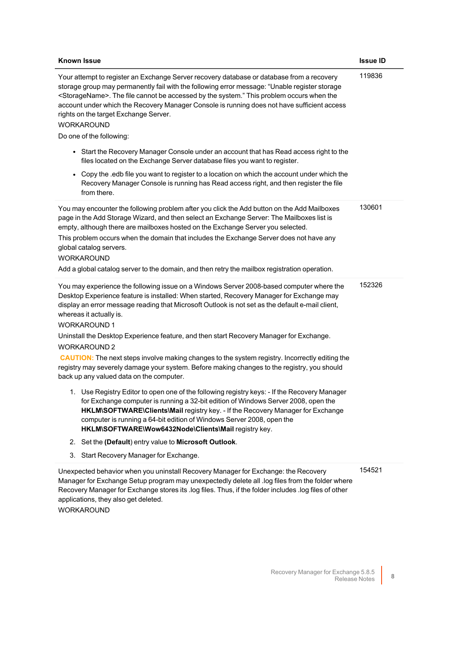| 119836<br>Your attempt to register an Exchange Server recovery database or database from a recovery<br>storage group may permanently fail with the following error message: "Unable register storage<br><storagename>. The file cannot be accessed by the system." This problem occurs when the<br/>account under which the Recovery Manager Console is running does not have sufficient access<br/>rights on the target Exchange Server.<br/><b>WORKAROUND</b><br/>Do one of the following:<br/>Start the Recovery Manager Console under an account that has Read access right to the<br/><math display="inline">\bullet</math><br/>files located on the Exchange Server database files you want to register.<br/>Copy the .edb file you want to register to a location on which the account under which the<br/><math display="inline">\bullet</math><br/>Recovery Manager Console is running has Read access right, and then register the file<br/>from there.<br/>130601<br/>You may encounter the following problem after you click the Add button on the Add Mailboxes<br/>page in the Add Storage Wizard, and then select an Exchange Server: The Mailboxes list is<br/>empty, although there are mailboxes hosted on the Exchange Server you selected.<br/>This problem occurs when the domain that includes the Exchange Server does not have any<br/>global catalog servers.<br/><b>WORKAROUND</b><br/>Add a global catalog server to the domain, and then retry the mailbox registration operation.<br/>152326<br/>You may experience the following issue on a Windows Server 2008-based computer where the<br/>Desktop Experience feature is installed: When started, Recovery Manager for Exchange may<br/>display an error message reading that Microsoft Outlook is not set as the default e-mail client,<br/>whereas it actually is.<br/><b>WORKAROUND1</b><br/>Uninstall the Desktop Experience feature, and then start Recovery Manager for Exchange.<br/><b>WORKAROUND 2</b><br/>CAUTION: The next steps involve making changes to the system registry. Incorrectly editing the<br/>registry may severely damage your system. Before making changes to the registry, you should<br/>back up any valued data on the computer.<br/>1. Use Registry Editor to open one of the following registry keys: - If the Recovery Manager<br/>for Exchange computer is running a 32-bit edition of Windows Server 2008, open the<br/>HKLM\SOFTWARE\Clients\Mail registry key. - If the Recovery Manager for Exchange<br/>computer is running a 64-bit edition of Windows Server 2008, open the<br/>HKLM\SOFTWARE\Wow6432Node\Clients\Mail registry key.<br/>Set the (Default) entry value to Microsoft Outlook.<br/>2.</storagename> | <b>Known Issue</b> | <b>Issue ID</b> |
|---------------------------------------------------------------------------------------------------------------------------------------------------------------------------------------------------------------------------------------------------------------------------------------------------------------------------------------------------------------------------------------------------------------------------------------------------------------------------------------------------------------------------------------------------------------------------------------------------------------------------------------------------------------------------------------------------------------------------------------------------------------------------------------------------------------------------------------------------------------------------------------------------------------------------------------------------------------------------------------------------------------------------------------------------------------------------------------------------------------------------------------------------------------------------------------------------------------------------------------------------------------------------------------------------------------------------------------------------------------------------------------------------------------------------------------------------------------------------------------------------------------------------------------------------------------------------------------------------------------------------------------------------------------------------------------------------------------------------------------------------------------------------------------------------------------------------------------------------------------------------------------------------------------------------------------------------------------------------------------------------------------------------------------------------------------------------------------------------------------------------------------------------------------------------------------------------------------------------------------------------------------------------------------------------------------------------------------------------------------------------------------------------------------------------------------------------------------------------------------------------------------------------------------------------------------------------------------------------------------------------------------------------------------------------------------------------------------------------------------------|--------------------|-----------------|
|                                                                                                                                                                                                                                                                                                                                                                                                                                                                                                                                                                                                                                                                                                                                                                                                                                                                                                                                                                                                                                                                                                                                                                                                                                                                                                                                                                                                                                                                                                                                                                                                                                                                                                                                                                                                                                                                                                                                                                                                                                                                                                                                                                                                                                                                                                                                                                                                                                                                                                                                                                                                                                                                                                                                             |                    |                 |
|                                                                                                                                                                                                                                                                                                                                                                                                                                                                                                                                                                                                                                                                                                                                                                                                                                                                                                                                                                                                                                                                                                                                                                                                                                                                                                                                                                                                                                                                                                                                                                                                                                                                                                                                                                                                                                                                                                                                                                                                                                                                                                                                                                                                                                                                                                                                                                                                                                                                                                                                                                                                                                                                                                                                             |                    |                 |
| Start Recovery Manager for Exchange.<br>3.                                                                                                                                                                                                                                                                                                                                                                                                                                                                                                                                                                                                                                                                                                                                                                                                                                                                                                                                                                                                                                                                                                                                                                                                                                                                                                                                                                                                                                                                                                                                                                                                                                                                                                                                                                                                                                                                                                                                                                                                                                                                                                                                                                                                                                                                                                                                                                                                                                                                                                                                                                                                                                                                                                  |                    |                 |

Unexpected behavior when you uninstall Recovery Manager for Exchange: the Recovery Manager for Exchange Setup program may unexpectedly delete all .log files from the folder where Recovery Manager for Exchange stores its .log files. Thus, if the folder includes .log files of other applications, they also get deleted.

WORKAROUND

154521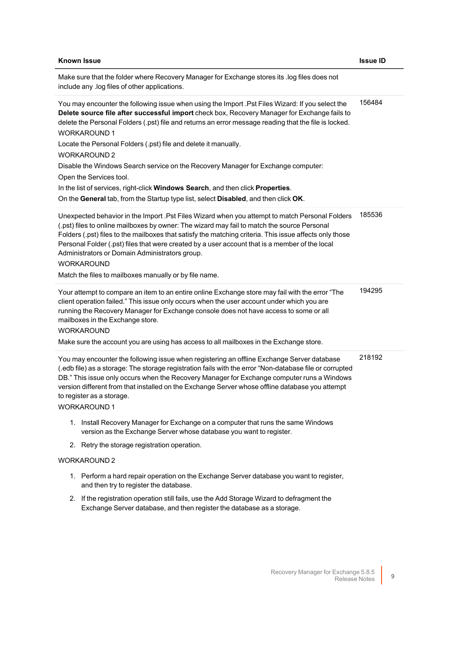| <b>Known Issue</b>                                                                                                                                                                                                                                                                                                                                                                                                                                                                                                                                                                                                                                                                                           | <b>Issue ID</b> |
|--------------------------------------------------------------------------------------------------------------------------------------------------------------------------------------------------------------------------------------------------------------------------------------------------------------------------------------------------------------------------------------------------------------------------------------------------------------------------------------------------------------------------------------------------------------------------------------------------------------------------------------------------------------------------------------------------------------|-----------------|
| Make sure that the folder where Recovery Manager for Exchange stores its .log files does not<br>include any .log files of other applications.                                                                                                                                                                                                                                                                                                                                                                                                                                                                                                                                                                |                 |
| You may encounter the following issue when using the Import .Pst Files Wizard: If you select the<br>Delete source file after successful import check box, Recovery Manager for Exchange fails to<br>delete the Personal Folders (.pst) file and returns an error message reading that the file is locked.<br><b>WORKAROUND1</b><br>Locate the Personal Folders (.pst) file and delete it manually.<br>WORKAROUND 2<br>Disable the Windows Search service on the Recovery Manager for Exchange computer:<br>Open the Services tool.<br>In the list of services, right-click Windows Search, and then click Properties.<br>On the General tab, from the Startup type list, select Disabled, and then click OK. | 156484          |
| Unexpected behavior in the Import .Pst Files Wizard when you attempt to match Personal Folders<br>(.pst) files to online mailboxes by owner: The wizard may fail to match the source Personal<br>Folders (.pst) files to the mailboxes that satisfy the matching criteria. This issue affects only those<br>Personal Folder (.pst) files that were created by a user account that is a member of the local<br>Administrators or Domain Administrators group.<br><b>WORKAROUND</b><br>Match the files to mailboxes manually or by file name.                                                                                                                                                                  | 185536          |
| Your attempt to compare an item to an entire online Exchange store may fail with the error "The<br>client operation failed." This issue only occurs when the user account under which you are<br>running the Recovery Manager for Exchange console does not have access to some or all<br>mailboxes in the Exchange store.<br><b>WORKAROUND</b><br>Make sure the account you are using has access to all mailboxes in the Exchange store.                                                                                                                                                                                                                                                                    | 194295          |
| You may encounter the following issue when registering an offline Exchange Server database<br>(.edb file) as a storage: The storage registration fails with the error "Non-database file or corrupted<br>DB." This issue only occurs when the Recovery Manager for Exchange computer runs a Windows<br>version different from that installed on the Exchange Server whose offline database you attempt<br>to register as a storage.<br><b>WORKAROUND 1</b>                                                                                                                                                                                                                                                   | 218192          |
| 1. Install Recovery Manager for Exchange on a computer that runs the same Windows<br>version as the Exchange Server whose database you want to register.                                                                                                                                                                                                                                                                                                                                                                                                                                                                                                                                                     |                 |
| 2. Retry the storage registration operation.                                                                                                                                                                                                                                                                                                                                                                                                                                                                                                                                                                                                                                                                 |                 |
| <b>WORKAROUND 2</b>                                                                                                                                                                                                                                                                                                                                                                                                                                                                                                                                                                                                                                                                                          |                 |
| 1. Perform a hard repair operation on the Exchange Server database you want to register,<br>and then try to register the database.                                                                                                                                                                                                                                                                                                                                                                                                                                                                                                                                                                           |                 |
| 2. If the registration operation still fails, use the Add Storage Wizard to defragment the<br>Exchange Server database, and then register the database as a storage.                                                                                                                                                                                                                                                                                                                                                                                                                                                                                                                                         |                 |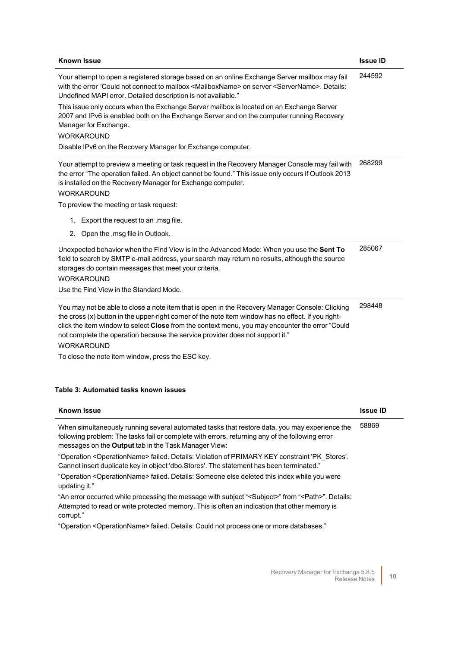| <b>Known Issue</b>                                                                                                                                                                                                                                                                                                                                                                                                                                                                                                                                                                                   | <b>Issue ID</b> |
|------------------------------------------------------------------------------------------------------------------------------------------------------------------------------------------------------------------------------------------------------------------------------------------------------------------------------------------------------------------------------------------------------------------------------------------------------------------------------------------------------------------------------------------------------------------------------------------------------|-----------------|
| Your attempt to open a registered storage based on an online Exchange Server mailbox may fail<br>with the error "Could not connect to mailbox <mailboxname> on server <servername>. Details:<br/>Undefined MAPI error. Detailed description is not available."<br/>This issue only occurs when the Exchange Server mailbox is located on an Exchange Server<br/>2007 and IPv6 is enabled both on the Exchange Server and on the computer running Recovery<br/>Manager for Exchange.<br/><b>WORKAROUND</b><br/>Disable IPv6 on the Recovery Manager for Exchange computer.</servername></mailboxname> | 244592          |
| Your attempt to preview a meeting or task request in the Recovery Manager Console may fail with<br>the error "The operation failed. An object cannot be found." This issue only occurs if Outlook 2013<br>is installed on the Recovery Manager for Exchange computer.<br><b>WORKAROUND</b><br>To preview the meeting or task request:<br>Export the request to an .msg file.<br>1.<br>2. Open the .msg file in Outlook.                                                                                                                                                                              | 268299          |
| Unexpected behavior when the Find View is in the Advanced Mode: When you use the Sent To<br>field to search by SMTP e-mail address, your search may return no results, although the source<br>storages do contain messages that meet your criteria.<br><b>WORKAROUND</b><br>Use the Find View in the Standard Mode.                                                                                                                                                                                                                                                                                  | 285067          |
| You may not be able to close a note item that is open in the Recovery Manager Console: Clicking<br>the cross (x) button in the upper-right corner of the note item window has no effect. If you right-<br>click the item window to select Close from the context menu, you may encounter the error "Could<br>not complete the operation because the service provider does not support it."<br><b>WORKAROUND</b>                                                                                                                                                                                      | 298448          |

To close the note item window, press the ESC key.

### <span id="page-9-0"></span>**Table 3: Automated tasks known issues**

| <b>Known Issue</b>                                                                                                                                                                                                                                              | <b>Issue ID</b> |
|-----------------------------------------------------------------------------------------------------------------------------------------------------------------------------------------------------------------------------------------------------------------|-----------------|
| When simultaneously running several automated tasks that restore data, you may experience the<br>following problem: The tasks fail or complete with errors, returning any of the following error<br>messages on the <b>Output</b> tab in the Task Manager View: | 58869           |
| "Operation <operationname> failed. Details: Violation of PRIMARY KEY constraint 'PK Stores'.<br/>Cannot insert duplicate key in object 'dbo. Stores'. The statement has been terminated."</operationname>                                                       |                 |
| "Operation <operationname> failed. Details: Someone else deleted this index while you were<br/>updating it."</operationname>                                                                                                                                    |                 |
| "An error occurred while processing the message with subject " <subject>" from "<path>". Details:<br/>Attempted to read or write protected memory. This is often an indication that other memory is<br/>corrupt."</path></subject>                              |                 |
| "Operation <operationname> failed. Details: Could not process one or more databases."</operationname>                                                                                                                                                           |                 |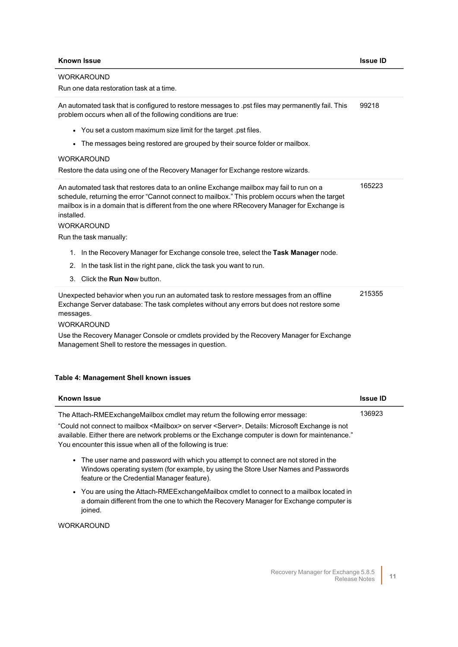## WORKAROUND

Run one data restoration task at a time.

An automated task that is configured to restore messages to .pst files may permanently fail. This problem occurs when all of the following conditions are true: 99218

- You set a custom maximum size limit for the target .pst files.
- The messages being restored are grouped by their source folder or mailbox.

#### WORKAROUND

Restore the data using one of the Recovery Manager for Exchange restore wizards.

| Restore the data using one of the Recovery Manager for Exchange restore wizards.                                                                                                                                                                                                                                                                                                                                                                                                                                                                                 |        |
|------------------------------------------------------------------------------------------------------------------------------------------------------------------------------------------------------------------------------------------------------------------------------------------------------------------------------------------------------------------------------------------------------------------------------------------------------------------------------------------------------------------------------------------------------------------|--------|
| An automated task that restores data to an online Exchange mailbox may fail to run on a<br>schedule, returning the error "Cannot connect to mailbox." This problem occurs when the target<br>mailbox is in a domain that is different from the one where RRecovery Manager for Exchange is<br>installed.<br><b>WORKAROUND</b><br>Run the task manually:<br>1. In the Recovery Manager for Exchange console tree, select the Task Manager node.<br>2. In the task list in the right pane, click the task you want to run.<br>3. Click the <b>Run No</b> w button. | 165223 |
| Unexpected behavior when you run an automated task to restore messages from an offline<br>Exchange Server database: The task completes without any errors but does not restore some<br>messages.<br><b>WORKAROUND</b>                                                                                                                                                                                                                                                                                                                                            | 215355 |

Use the Recovery Manager Console or cmdlets provided by the Recovery Manager for Exchange Management Shell to restore the messages in question.

#### <span id="page-10-0"></span>**Table 4: Management Shell known issues**

| <b>Known Issue</b>                                                                                                                                                                                                                                                                    | Issue ID |
|---------------------------------------------------------------------------------------------------------------------------------------------------------------------------------------------------------------------------------------------------------------------------------------|----------|
| The Attach-RMEExchangeMailbox cmdlet may return the following error message:                                                                                                                                                                                                          | 136923   |
| "Could not connect to mailbox <mailbox> on server <server>. Details: Microsoft Exchange is not<br/>available. Either there are network problems or the Exchange computer is down for maintenance."<br/>You encounter this issue when all of the following is true:</server></mailbox> |          |
| • The user name and password with which you attempt to connect are not stored in the<br>Windows operating system (for example, by using the Store User Names and Passwords<br>feature or the Credential Manager feature).                                                             |          |
| • You are using the Attach-RMEExchangeMailbox cmdlet to connect to a mailbox located in<br>a domain different from the one to which the Recovery Manager for Exchange computer is<br>joined.                                                                                          |          |
| WORKAROUND                                                                                                                                                                                                                                                                            |          |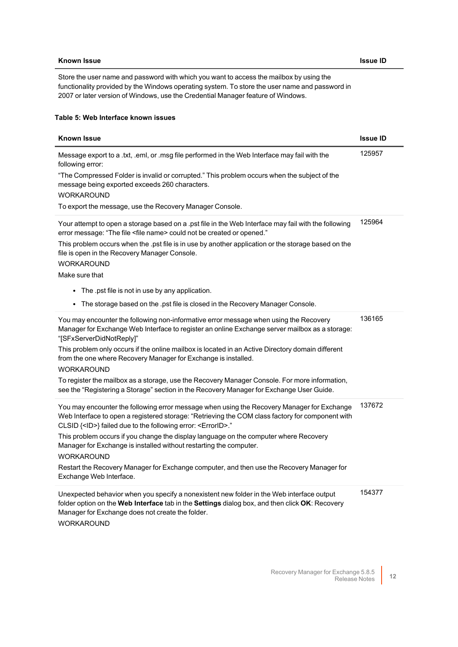#### <span id="page-11-0"></span>**Table 5: Web Interface known issues**

| <b>Known Issue</b>                                                                                                                                                                                                                                                                                                                                                                                                                                                                                                                                                                                           | <b>Issue ID</b> |
|--------------------------------------------------------------------------------------------------------------------------------------------------------------------------------------------------------------------------------------------------------------------------------------------------------------------------------------------------------------------------------------------------------------------------------------------------------------------------------------------------------------------------------------------------------------------------------------------------------------|-----------------|
| Message export to a .txt, .eml, or .msg file performed in the Web Interface may fail with the<br>following error:<br>"The Compressed Folder is invalid or corrupted." This problem occurs when the subject of the<br>message being exported exceeds 260 characters.<br><b>WORKAROUND</b><br>To export the message, use the Recovery Manager Console.                                                                                                                                                                                                                                                         | 125957          |
| Your attempt to open a storage based on a .pst file in the Web Interface may fail with the following<br>error message: "The file <file name=""> could not be created or opened."<br/>This problem occurs when the .pst file is in use by another application or the storage based on the<br/>file is open in the Recovery Manager Console.<br/><b>WORKAROUND</b><br/>Make sure that<br/>• The .pst file is not in use by any application.<br/>The storage based on the .pst file is closed in the Recovery Manager Console.<br/><math display="inline">\bullet</math></file>                                 | 125964          |
| You may encounter the following non-informative error message when using the Recovery<br>Manager for Exchange Web Interface to register an online Exchange server mailbox as a storage:<br>"[SFxServerDidNotReply]"<br>This problem only occurs if the online mailbox is located in an Active Directory domain different<br>from the one where Recovery Manager for Exchange is installed.<br><b>WORKAROUND</b><br>To register the mailbox as a storage, use the Recovery Manager Console. For more information,<br>see the "Registering a Storage" section in the Recovery Manager for Exchange User Guide. | 136165          |
| You may encounter the following error message when using the Recovery Manager for Exchange<br>Web Interface to open a registered storage: "Retrieving the COM class factory for component with<br>CLSID { <id>} failed due to the following error: <errorid>."<br/>This problem occurs if you change the display language on the computer where Recovery<br/>Manager for Exchange is installed without restarting the computer.<br/><b>WORKAROUND</b><br/>Restart the Recovery Manager for Exchange computer, and then use the Recovery Manager for<br/>Exchange Web Interface.</errorid></id>               | 137672          |
| Unexpected behavior when you specify a nonexistent new folder in the Web interface output<br>folder option on the Web Interface tab in the Settings dialog box, and then click OK: Recovery<br>Manager for Exchange does not create the folder.<br><b>WORKAROUND</b>                                                                                                                                                                                                                                                                                                                                         | 154377          |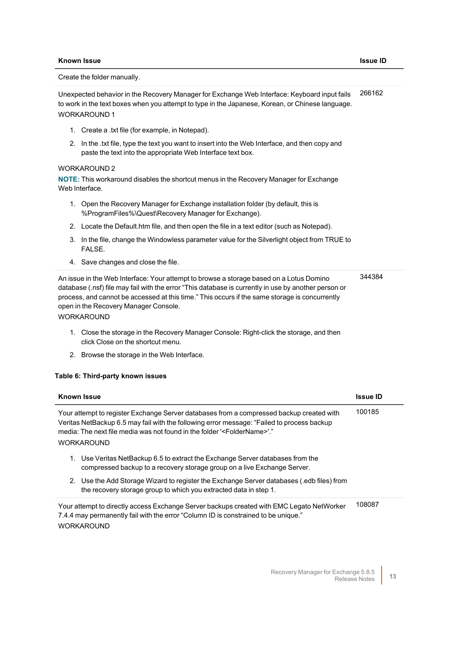Create the folder manually. Unexpected behavior in the Recovery Manager for Exchange Web Interface: Keyboard input fails to work in the text boxes when you attempt to type in the Japanese, Korean, or Chinese language. WORKAROUND 1 1. Create a .txt file (for example, in Notepad). 2. In the .txt file, type the text you want to insert into the Web Interface, and then copy and paste the text into the appropriate Web Interface text box. WORKAROUND 2 **NOTE:** This workaround disables the shortcut menus in the Recovery Manager for Exchange Web Interface. 1. Open the Recovery Manager for Exchange installation folder (by default, this is %ProgramFiles%\Quest\Recovery Manager for Exchange). 2. Locate the Default.htm file, and then open the file in a text editor (such as Notepad). 266162

- 3. In the file, change the Windowless parameter value for the Silverlight object from TRUE to FALSE.
- 4. Save changes and close the file.

| An issue in the Web Interface: Your attempt to browse a storage based on a Lotus Domino              | 344384 |  |
|------------------------------------------------------------------------------------------------------|--------|--|
| database (.nsf) file may fail with the error "This database is currently in use by another person or |        |  |
| process, and cannot be accessed at this time." This occurs if the same storage is concurrently       |        |  |
| open in the Recovery Manager Console.                                                                |        |  |
| <b>WORKAROUND</b>                                                                                    |        |  |

- 1. Close the storage in the Recovery Manager Console: Right-click the storage, and then click Close on the shortcut menu.
- 2. Browse the storage in the Web Interface.

#### <span id="page-12-0"></span>**Table 6: Third-party known issues**

| <b>Known Issue</b>                                                                                                                                                                                                                                                                                    | <b>Issue ID</b> |
|-------------------------------------------------------------------------------------------------------------------------------------------------------------------------------------------------------------------------------------------------------------------------------------------------------|-----------------|
| Your attempt to register Exchange Server databases from a compressed backup created with<br>Veritas NetBackup 6.5 may fail with the following error message: "Failed to process backup<br>media: The next file media was not found in the folder ' <foldername>'."<br/><b>WORKAROUND</b></foldername> | 100185          |
| Use Veritas NetBackup 6.5 to extract the Exchange Server databases from the<br>1.<br>compressed backup to a recovery storage group on a live Exchange Server.                                                                                                                                         |                 |
| 2. Use the Add Storage Wizard to register the Exchange Server databases (.edb files) from<br>the recovery storage group to which you extracted data in step 1.                                                                                                                                        |                 |
| Your attempt to directly access Exchange Server backups created with EMC Legato NetWorker<br>7.4.4 may permanently fail with the error "Column ID is constrained to be unique."<br><b>WORKAROUND</b>                                                                                                  | 108087          |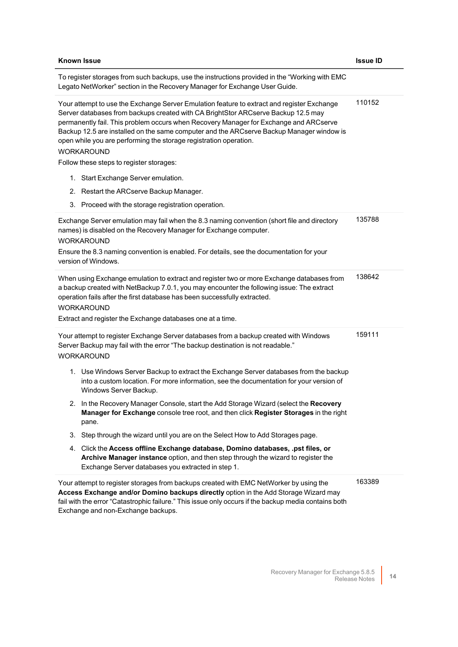| <b>Known Issue</b>                                                                                                                                                                                                                                                                                                                                                                                                                                             | <b>Issue ID</b> |
|----------------------------------------------------------------------------------------------------------------------------------------------------------------------------------------------------------------------------------------------------------------------------------------------------------------------------------------------------------------------------------------------------------------------------------------------------------------|-----------------|
| To register storages from such backups, use the instructions provided in the "Working with EMC<br>Legato NetWorker" section in the Recovery Manager for Exchange User Guide.                                                                                                                                                                                                                                                                                   |                 |
| Your attempt to use the Exchange Server Emulation feature to extract and register Exchange<br>Server databases from backups created with CA BrightStor ARCserve Backup 12.5 may<br>permanently fail. This problem occurs when Recovery Manager for Exchange and ARCserve<br>Backup 12.5 are installed on the same computer and the ARCserve Backup Manager window is<br>open while you are performing the storage registration operation.<br><b>WORKAROUND</b> | 110152          |
| Follow these steps to register storages:                                                                                                                                                                                                                                                                                                                                                                                                                       |                 |
| 1. Start Exchange Server emulation.                                                                                                                                                                                                                                                                                                                                                                                                                            |                 |
| 2. Restart the ARCserve Backup Manager.                                                                                                                                                                                                                                                                                                                                                                                                                        |                 |
| 3. Proceed with the storage registration operation.                                                                                                                                                                                                                                                                                                                                                                                                            |                 |
| Exchange Server emulation may fail when the 8.3 naming convention (short file and directory<br>names) is disabled on the Recovery Manager for Exchange computer.<br><b>WORKAROUND</b><br>Ensure the 8.3 naming convention is enabled. For details, see the documentation for your<br>version of Windows.                                                                                                                                                       | 135788          |
| When using Exchange emulation to extract and register two or more Exchange databases from<br>a backup created with NetBackup 7.0.1, you may encounter the following issue: The extract<br>operation fails after the first database has been successfully extracted.<br><b>WORKAROUND</b><br>Extract and register the Exchange databases one at a time.                                                                                                         | 138642          |
| Your attempt to register Exchange Server databases from a backup created with Windows<br>Server Backup may fail with the error "The backup destination is not readable."<br><b>WORKAROUND</b>                                                                                                                                                                                                                                                                  | 159111          |
| 1. Use Windows Server Backup to extract the Exchange Server databases from the backup<br>into a custom location. For more information, see the documentation for your version of<br>Windows Server Backup.                                                                                                                                                                                                                                                     |                 |
| 2. In the Recovery Manager Console, start the Add Storage Wizard (select the Recovery<br>Manager for Exchange console tree root, and then click Register Storages in the right<br>pane.                                                                                                                                                                                                                                                                        |                 |
| 3. Step through the wizard until you are on the Select How to Add Storages page.                                                                                                                                                                                                                                                                                                                                                                               |                 |
| 4. Click the Access offline Exchange database, Domino databases, .pst files, or<br>Archive Manager instance option, and then step through the wizard to register the<br>Exchange Server databases you extracted in step 1.                                                                                                                                                                                                                                     |                 |
| Your attempt to register storages from backups created with EMC NetWorker by using the<br>Access Exchange and/or Domino backups directly option in the Add Storage Wizard may<br>fail with the error "Catastrophic failure." This issue only occurs if the backup media contains both<br>Exchange and non-Exchange backups.                                                                                                                                    | 163389          |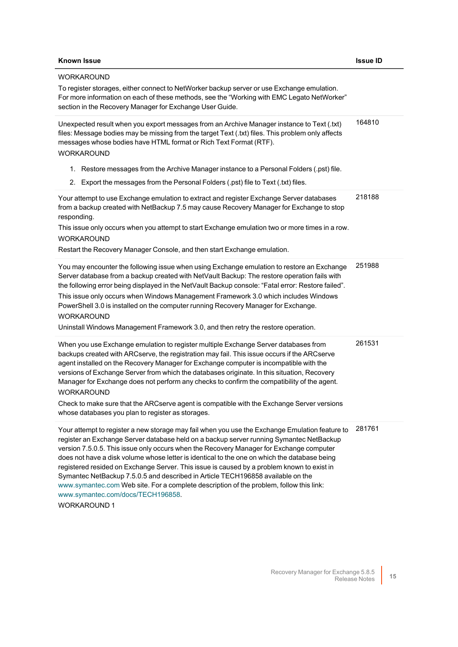## **Known Issue Issue ID WORKAROUND** To register storages, either connect to NetWorker backup server or use Exchange emulation. For more information on each of these methods, see the "Working with EMC Legato NetWorker" section in the Recovery Manager for Exchange User Guide. Unexpected result when you export messages from an Archive Manager instance to Text (.txt) files: Message bodies may be missing from the target Text (.txt) files. This problem only affects messages whose bodies have HTML format or Rich Text Format (RTF). WORKAROUND 1. Restore messages from the Archive Manager instance to a Personal Folders (.pst) file. 2. Export the messages from the Personal Folders (.pst) file to Text (.txt) files. 164810 Your attempt to use Exchange emulation to extract and register Exchange Server databases from a backup created with NetBackup 7.5 may cause Recovery Manager for Exchange to stop responding. This issue only occurs when you attempt to start Exchange emulation two or more times in a row. WORKAROUND Restart the Recovery Manager Console, and then start Exchange emulation. 218188 You may encounter the following issue when using Exchange emulation to restore an Exchange Server database from a backup created with NetVault Backup: The restore operation fails with the following error being displayed in the NetVault Backup console: "Fatal error: Restore failed". This issue only occurs when Windows Management Framework 3.0 which includes Windows PowerShell 3.0 is installed on the computer running Recovery Manager for Exchange. WORKAROUND Uninstall Windows Management Framework 3.0, and then retry the restore operation. 251988 When you use Exchange emulation to register multiple Exchange Server databases from backups created with ARCserve, the registration may fail. This issue occurs if the ARCserve agent installed on the Recovery Manager for Exchange computer is incompatible with the versions of Exchange Server from which the databases originate. In this situation, Recovery Manager for Exchange does not perform any checks to confirm the compatibility of the agent. WORKAROUND Check to make sure that the ARCserve agent is compatible with the Exchange Server versions whose databases you plan to register as storages. 261531 Your attempt to register a new storage may fail when you use the Exchange Emulation feature to register an Exchange Server database held on a backup server running Symantec NetBackup version 7.5.0.5. This issue only occurs when the Recovery Manager for Exchange computer does not have a disk volume whose letter is identical to the one on which the database being registered resided on Exchange Server. This issue is caused by a problem known to exist in Symantec NetBackup 7.5.0.5 and described in Article TECH196858 available on the [www.symantec.com](http://www.symantec.com/) Web site. For a complete description of the problem, follow this link: [www.symantec.com/docs/TECH196858](http://www.symantec.com/docs/TECH196858). 281761

WORKAROUND 1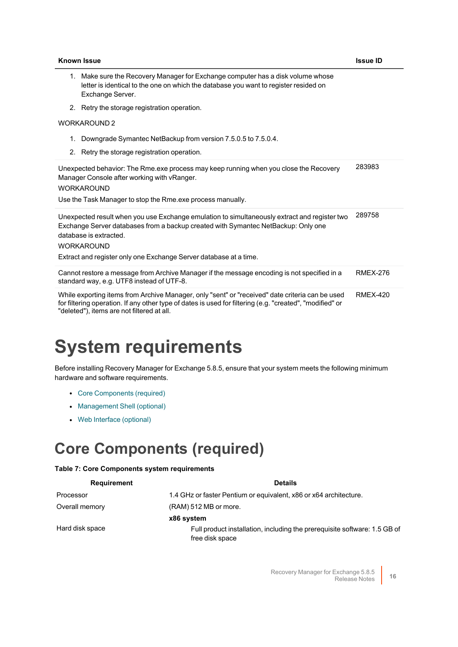| <b>Known Issue</b>                                                                                                                                                                                                                                                                                    | <b>Issue ID</b> |
|-------------------------------------------------------------------------------------------------------------------------------------------------------------------------------------------------------------------------------------------------------------------------------------------------------|-----------------|
| 1. Make sure the Recovery Manager for Exchange computer has a disk volume whose<br>letter is identical to the one on which the database you want to register resided on<br>Exchange Server.                                                                                                           |                 |
| 2. Retry the storage registration operation.                                                                                                                                                                                                                                                          |                 |
| <b>WORKAROUND 2</b>                                                                                                                                                                                                                                                                                   |                 |
| Downgrade Symantec NetBackup from version 7.5.0.5 to 7.5.0.4.<br>1.<br>2. Retry the storage registration operation.                                                                                                                                                                                   |                 |
| Unexpected behavior: The Rme.exe process may keep running when you close the Recovery<br>Manager Console after working with vRanger.<br><b>WORKAROUND</b><br>Use the Task Manager to stop the Rme.exe process manually.                                                                               | 283983          |
| Unexpected result when you use Exchange emulation to simultaneously extract and register two<br>Exchange Server databases from a backup created with Symantec NetBackup: Only one<br>database is extracted.<br><b>WORKAROUND</b><br>Extract and register only one Exchange Server database at a time. | 289758          |
| Cannot restore a message from Archive Manager if the message encoding is not specified in a<br>standard way, e.g. UTF8 instead of UTF-8.                                                                                                                                                              | <b>RMEX-276</b> |
| While exporting items from Archive Manager, only "sent" or "received" date criteria can be used<br>for filtering operation. If any other type of dates is used for filtering (e.g. "created", "modified" or<br>"deleted"), items are not filtered at all.                                             | <b>RMEX-420</b> |

# <span id="page-15-0"></span>**System requirements**

Before installing Recovery Manager for Exchange 5.8.5, ensure that your system meets the following minimum hardware and software requirements.

- Core [Components](#page-15-1) (required)
- [Management](#page-18-0) Shell (optional)
- <span id="page-15-1"></span>• Web Interface [\(optional\)](#page-18-1)

## **Core Components (required)**

#### **Table 7: Core Components system requirements**

| <b>Requirement</b> | <b>Details</b>                                                                               |
|--------------------|----------------------------------------------------------------------------------------------|
| Processor          | 1.4 GHz or faster Pentium or equivalent, x86 or x64 architecture.                            |
| Overall memory     | (RAM) 512 MB or more.                                                                        |
|                    | x86 system                                                                                   |
| Hard disk space    | Full product installation, including the prerequisite software: 1.5 GB of<br>free disk space |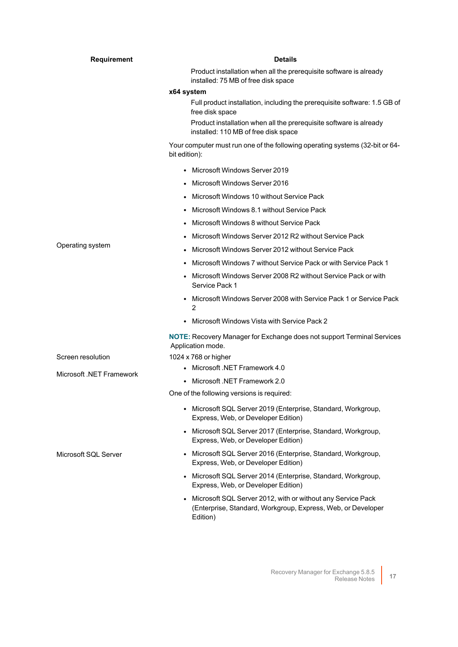| Product installation when all the prerequisite software is already<br>installed: 75 MB of free disk space<br>x64 system<br>Full product installation, including the prerequisite software: 1.5 GB of<br>free disk space<br>Product installation when all the prerequisite software is already |  |
|-----------------------------------------------------------------------------------------------------------------------------------------------------------------------------------------------------------------------------------------------------------------------------------------------|--|
|                                                                                                                                                                                                                                                                                               |  |
|                                                                                                                                                                                                                                                                                               |  |
|                                                                                                                                                                                                                                                                                               |  |
| installed: 110 MB of free disk space                                                                                                                                                                                                                                                          |  |
| Your computer must run one of the following operating systems (32-bit or 64-<br>bit edition):                                                                                                                                                                                                 |  |
| Microsoft Windows Server 2019                                                                                                                                                                                                                                                                 |  |
| Microsoft Windows Server 2016<br>$\bullet$                                                                                                                                                                                                                                                    |  |
| Microsoft Windows 10 without Service Pack                                                                                                                                                                                                                                                     |  |
| Microsoft Windows 8.1 without Service Pack                                                                                                                                                                                                                                                    |  |
| Microsoft Windows 8 without Service Pack                                                                                                                                                                                                                                                      |  |
| Microsoft Windows Server 2012 R2 without Service Pack                                                                                                                                                                                                                                         |  |
| Operating system<br>Microsoft Windows Server 2012 without Service Pack                                                                                                                                                                                                                        |  |
| Microsoft Windows 7 without Service Pack or with Service Pack 1                                                                                                                                                                                                                               |  |
| Microsoft Windows Server 2008 R2 without Service Pack or with<br>Service Pack 1                                                                                                                                                                                                               |  |
| Microsoft Windows Server 2008 with Service Pack 1 or Service Pack<br>$\bullet$<br>2                                                                                                                                                                                                           |  |
| Microsoft Windows Vista with Service Pack 2                                                                                                                                                                                                                                                   |  |
| <b>NOTE:</b> Recovery Manager for Exchange does not support Terminal Services<br>Application mode.                                                                                                                                                                                            |  |
| Screen resolution<br>1024 x 768 or higher                                                                                                                                                                                                                                                     |  |
| • Microsoft .NET Framework 4.0<br>Microsoft .NET Framework                                                                                                                                                                                                                                    |  |
| Microsoft .NET Framework 2.0                                                                                                                                                                                                                                                                  |  |
| One of the following versions is required:                                                                                                                                                                                                                                                    |  |
| • Microsoft SQL Server 2019 (Enterprise, Standard, Workgroup,<br>Express, Web, or Developer Edition)                                                                                                                                                                                          |  |
| • Microsoft SQL Server 2017 (Enterprise, Standard, Workgroup,<br>Express, Web, or Developer Edition)                                                                                                                                                                                          |  |
| Microsoft SQL Server 2016 (Enterprise, Standard, Workgroup,<br>Microsoft SQL Server<br>Express, Web, or Developer Edition)                                                                                                                                                                    |  |
| • Microsoft SQL Server 2014 (Enterprise, Standard, Workgroup,<br>Express, Web, or Developer Edition)                                                                                                                                                                                          |  |
| • Microsoft SQL Server 2012, with or without any Service Pack<br>(Enterprise, Standard, Workgroup, Express, Web, or Developer<br>Edition)                                                                                                                                                     |  |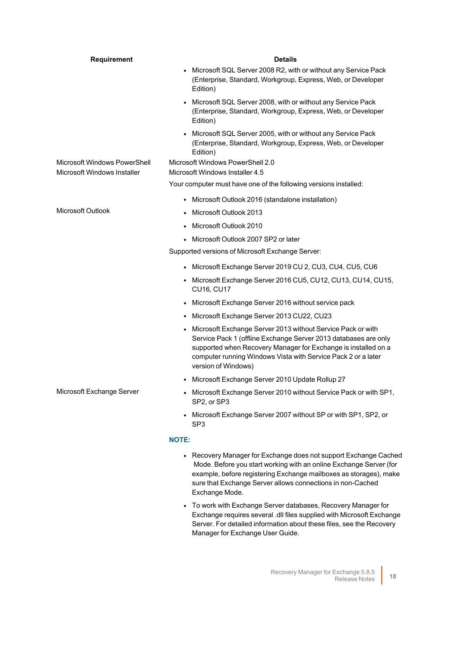| <b>Requirement</b>                                          | <b>Details</b>                                                                                                                                                                                                                                                                                        |
|-------------------------------------------------------------|-------------------------------------------------------------------------------------------------------------------------------------------------------------------------------------------------------------------------------------------------------------------------------------------------------|
|                                                             | • Microsoft SQL Server 2008 R2, with or without any Service Pack<br>(Enterprise, Standard, Workgroup, Express, Web, or Developer<br>Edition)                                                                                                                                                          |
|                                                             | Microsoft SQL Server 2008, with or without any Service Pack<br>(Enterprise, Standard, Workgroup, Express, Web, or Developer<br>Edition)                                                                                                                                                               |
|                                                             | Microsoft SQL Server 2005, with or without any Service Pack<br>$\bullet$<br>(Enterprise, Standard, Workgroup, Express, Web, or Developer<br>Edition)                                                                                                                                                  |
| Microsoft Windows PowerShell<br>Microsoft Windows Installer | Microsoft Windows PowerShell 2.0<br>Microsoft Windows Installer 4.5                                                                                                                                                                                                                                   |
|                                                             | Your computer must have one of the following versions installed:                                                                                                                                                                                                                                      |
|                                                             | Microsoft Outlook 2016 (standalone installation)<br>$\bullet$                                                                                                                                                                                                                                         |
| Microsoft Outlook                                           | Microsoft Outlook 2013                                                                                                                                                                                                                                                                                |
|                                                             | Microsoft Outlook 2010<br>$\bullet$                                                                                                                                                                                                                                                                   |
|                                                             | Microsoft Outlook 2007 SP2 or later                                                                                                                                                                                                                                                                   |
|                                                             | Supported versions of Microsoft Exchange Server:                                                                                                                                                                                                                                                      |
|                                                             | • Microsoft Exchange Server 2019 CU 2, CU3, CU4, CU5, CU6                                                                                                                                                                                                                                             |
|                                                             | • Microsoft Exchange Server 2016 CU5, CU12, CU13, CU14, CU15,<br><b>CU16, CU17</b>                                                                                                                                                                                                                    |
|                                                             | Microsoft Exchange Server 2016 without service pack<br>$\bullet$                                                                                                                                                                                                                                      |
|                                                             | Microsoft Exchange Server 2013 CU22, CU23<br>$\bullet$                                                                                                                                                                                                                                                |
|                                                             | Microsoft Exchange Server 2013 without Service Pack or with<br>$\bullet$<br>Service Pack 1 (offline Exchange Server 2013 databases are only<br>supported when Recovery Manager for Exchange is installed on a<br>computer running Windows Vista with Service Pack 2 or a later<br>version of Windows) |
|                                                             | Microsoft Exchange Server 2010 Update Rollup 27<br>$\bullet$                                                                                                                                                                                                                                          |
| Microsoft Exchange Server                                   | Microsoft Exchange Server 2010 without Service Pack or with SP1,<br>$\bullet$<br>SP2, or SP3                                                                                                                                                                                                          |
|                                                             | Microsoft Exchange Server 2007 without SP or with SP1, SP2, or<br>$\bullet$<br>SP <sub>3</sub>                                                                                                                                                                                                        |
|                                                             | <b>NOTE:</b>                                                                                                                                                                                                                                                                                          |
|                                                             | Recovery Manager for Exchange does not support Exchange Cached<br>$\bullet$<br>Mode. Before you start working with an online Exchange Server (for                                                                                                                                                     |

- Mode. Before you start working with an online Exchange Server (for example, before registering Exchange mailboxes as storages), make sure that Exchange Server allows connections in non-Cached Exchange Mode.
- To work with Exchange Server databases, Recovery Manager for Exchange requires several .dll files supplied with Microsoft Exchange Server. For detailed information about these files, see the Recovery Manager for Exchange User Guide.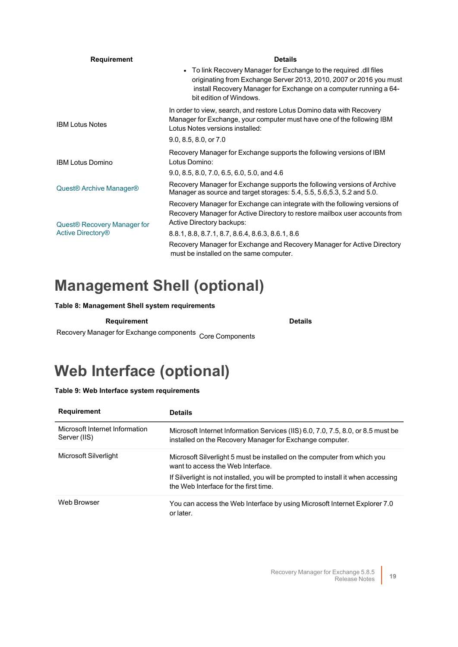| <b>Requirement</b>                                                  | <b>Details</b>                                                                                                                                                                                                                           |  |
|---------------------------------------------------------------------|------------------------------------------------------------------------------------------------------------------------------------------------------------------------------------------------------------------------------------------|--|
|                                                                     | • To link Recovery Manager for Exchange to the required .dll files<br>originating from Exchange Server 2013, 2010, 2007 or 2016 you must<br>install Recovery Manager for Exchange on a computer running a 64-<br>bit edition of Windows. |  |
| <b>IBM Lotus Notes</b>                                              | In order to view, search, and restore Lotus Domino data with Recovery<br>Manager for Exchange, your computer must have one of the following IBM<br>Lotus Notes versions installed:                                                       |  |
|                                                                     | $9.0, 8.5, 8.0,$ or $7.0$                                                                                                                                                                                                                |  |
| <b>IBM Lotus Domino</b>                                             | Recovery Manager for Exchange supports the following versions of IBM<br>Lotus Domino:                                                                                                                                                    |  |
|                                                                     | 9.0, 8.5, 8.0, 7.0, 6.5, 6.0, 5.0, and 4.6                                                                                                                                                                                               |  |
| Quest <sup>®</sup> Archive Manager <sup>®</sup>                     | Recovery Manager for Exchange supports the following versions of Archive<br>Manager as source and target storages: 5.4, 5.5, 5.6, 5.3, 5.2 and 5.0.                                                                                      |  |
| Quest <sup>®</sup> Recovery Manager for<br><b>Active Directory®</b> | Recovery Manager for Exchange can integrate with the following versions of<br>Recovery Manager for Active Directory to restore mailbox user accounts from<br>Active Directory backups:                                                   |  |
|                                                                     | 8.8.1, 8.8, 8.7.1, 8.7, 8.6.4, 8.6.3, 8.6.1, 8.6                                                                                                                                                                                         |  |
|                                                                     | Recovery Manager for Exchange and Recovery Manager for Active Directory<br>must be installed on the same computer.                                                                                                                       |  |

## <span id="page-18-0"></span>**Management Shell (optional)**

### **Table 8: Management Shell system requirements**

**Requirement Details**

Recovery Manager for Exchange components Core Components

## <span id="page-18-1"></span>**Web Interface (optional)**

### **Table 9: Web Interface system requirements**

| <b>Requirement</b>                             | <b>Details</b>                                                                                                                                                                                                                               |
|------------------------------------------------|----------------------------------------------------------------------------------------------------------------------------------------------------------------------------------------------------------------------------------------------|
| Microsoft Internet Information<br>Server (IIS) | Microsoft Internet Information Services (IIS) 6.0, 7.0, 7.5, 8.0, or 8.5 must be<br>installed on the Recovery Manager for Exchange computer.                                                                                                 |
| Microsoft Silverlight                          | Microsoft Silverlight 5 must be installed on the computer from which you<br>want to access the Web Interface.<br>If Silverlight is not installed, you will be prompted to install it when accessing<br>the Web Interface for the first time. |
| Web Browser                                    | You can access the Web Interface by using Microsoft Internet Explorer 7.0<br>or later.                                                                                                                                                       |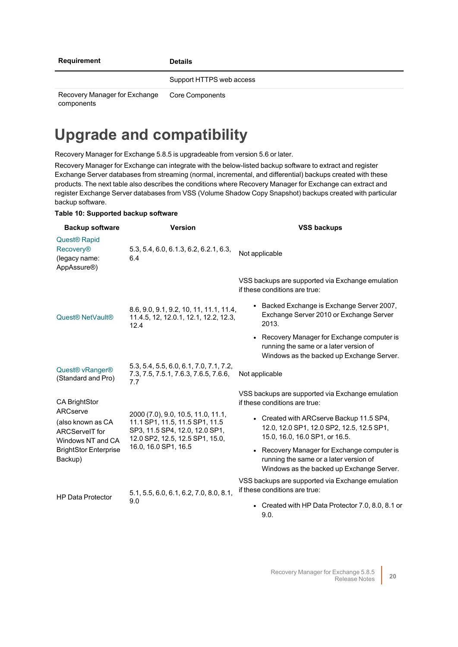Support HTTPS web access

Recovery Manager for Exchange components

Core Components

## **Upgrade and compatibility**

Recovery Manager for Exchange 5.8.5 is upgradeable from version 5.6 or later.

Recovery Manager for Exchange can integrate with the below-listed backup software to extract and register Exchange Server databases from streaming (normal, incremental, and differential) backups created with these products. The next table also describes the conditions where Recovery Manager for Exchange can extract and register Exchange Server databases from VSS (Volume Shadow Copy Snapshot) backups created with particular backup software.

### **Table 10: Supported backup software**

| <b>Backup software</b>                                                                                                                                                                                                                                                                      | <b>Version</b>                                                                                                          | <b>VSS backups</b>                                                                                                                 |
|---------------------------------------------------------------------------------------------------------------------------------------------------------------------------------------------------------------------------------------------------------------------------------------------|-------------------------------------------------------------------------------------------------------------------------|------------------------------------------------------------------------------------------------------------------------------------|
| <b>Quest<sup>®</sup> Rapid</b><br><b>Recovery®</b><br>(legacy name:<br>AppAssure <sup>®</sup> )                                                                                                                                                                                             | 5.3, 5.4, 6.0, 6.1.3, 6.2, 6.2.1, 6.3,<br>6.4                                                                           | Not applicable                                                                                                                     |
|                                                                                                                                                                                                                                                                                             |                                                                                                                         | VSS backups are supported via Exchange emulation<br>if these conditions are true:                                                  |
| Quest <sup>®</sup> NetVault <sup>®</sup>                                                                                                                                                                                                                                                    | 8.6, 9.0, 9.1, 9.2, 10, 11, 11.1, 11.4,<br>11.4.5, 12, 12.0.1, 12.1, 12.2, 12.3,<br>12.4                                | • Backed Exchange is Exchange Server 2007,<br>Exchange Server 2010 or Exchange Server<br>2013.                                     |
|                                                                                                                                                                                                                                                                                             |                                                                                                                         | • Recovery Manager for Exchange computer is<br>running the same or a later version of<br>Windows as the backed up Exchange Server. |
| Quest <sup>®</sup> vRanger <sup>®</sup><br>(Standard and Pro)                                                                                                                                                                                                                               | 5.3, 5.4, 5.5, 6.0, 6.1, 7.0, 7.1, 7.2,<br>7.3, 7.5, 7.5.1, 7.6.3, 7.6.5, 7.6.6,<br>7.7                                 | Not applicable                                                                                                                     |
| <b>CA BrightStor</b>                                                                                                                                                                                                                                                                        |                                                                                                                         | VSS backups are supported via Exchange emulation<br>if these conditions are true:                                                  |
| ARCserve<br>2000 (7.0), 9.0, 10.5, 11.0, 11.1,<br>(also known as CA<br>11.1 SP1, 11.5, 11.5 SP1, 11.5<br>SP3, 11.5 SP4, 12.0, 12.0 SP1,<br><b>ARCServelT</b> for<br>12.0 SP2, 12.5, 12.5 SP1, 15.0,<br>Windows NT and CA<br>16.0, 16.0 SP1, 16.5<br><b>BrightStor Enterprise</b><br>Backup) | • Created with ARCserve Backup 11.5 SP4,<br>12.0, 12.0 SP1, 12.0 SP2, 12.5, 12.5 SP1,<br>15.0, 16.0, 16.0 SP1, or 16.5. |                                                                                                                                    |
|                                                                                                                                                                                                                                                                                             |                                                                                                                         | • Recovery Manager for Exchange computer is<br>running the same or a later version of<br>Windows as the backed up Exchange Server. |
| <b>HP Data Protector</b>                                                                                                                                                                                                                                                                    | 5.1, 5.5, 6.0, 6.1, 6.2, 7.0, 8.0, 8.1,<br>9.0                                                                          | VSS backups are supported via Exchange emulation<br>if these conditions are true:                                                  |
|                                                                                                                                                                                                                                                                                             |                                                                                                                         | • Created with HP Data Protector 7.0, 8.0, 8.1 or<br>9.0.                                                                          |

Recovery Manager for Exchange 5.8.5 Exchange 5.8.5<br>Release Notes 20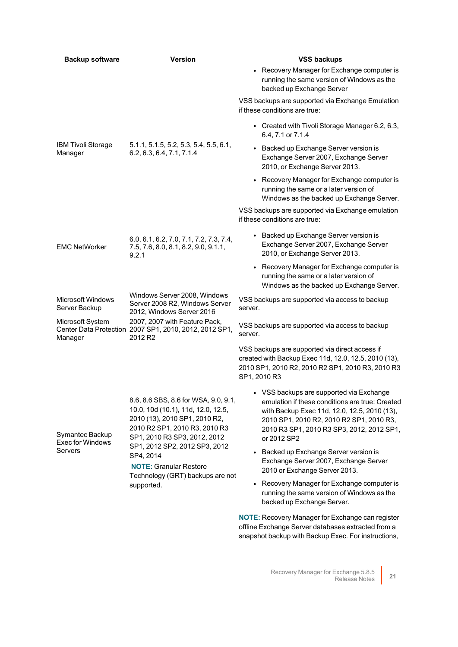| <b>Backup software</b>                         | <b>Version</b>                                                                                                                                                                                                                                                                                                | <b>VSS backups</b>                                                                                                                                                                                                                                  |
|------------------------------------------------|---------------------------------------------------------------------------------------------------------------------------------------------------------------------------------------------------------------------------------------------------------------------------------------------------------------|-----------------------------------------------------------------------------------------------------------------------------------------------------------------------------------------------------------------------------------------------------|
|                                                |                                                                                                                                                                                                                                                                                                               | • Recovery Manager for Exchange computer is<br>running the same version of Windows as the<br>backed up Exchange Server                                                                                                                              |
| IBM Tivoli Storage<br>Manager                  | 5.1.1, 5.1.5, 5.2, 5.3, 5.4, 5.5, 6.1,<br>6.2, 6.3, 6.4, 7.1, 7.1.4                                                                                                                                                                                                                                           | VSS backups are supported via Exchange Emulation<br>if these conditions are true:                                                                                                                                                                   |
|                                                |                                                                                                                                                                                                                                                                                                               | • Created with Tivoli Storage Manager 6.2, 6.3,<br>6.4, 7.1 or 7.1.4                                                                                                                                                                                |
|                                                |                                                                                                                                                                                                                                                                                                               | • Backed up Exchange Server version is<br>Exchange Server 2007, Exchange Server<br>2010, or Exchange Server 2013.                                                                                                                                   |
|                                                |                                                                                                                                                                                                                                                                                                               | • Recovery Manager for Exchange computer is<br>running the same or a later version of<br>Windows as the backed up Exchange Server.                                                                                                                  |
|                                                |                                                                                                                                                                                                                                                                                                               | VSS backups are supported via Exchange emulation<br>if these conditions are true:                                                                                                                                                                   |
| <b>EMC NetWorker</b>                           | 6.0, 6.1, 6.2, 7.0, 7.1, 7.2, 7.3, 7.4,<br>7.5, 7.6, 8.0, 8.1, 8.2, 9.0, 9.1.1,<br>9.2.1                                                                                                                                                                                                                      | • Backed up Exchange Server version is<br>Exchange Server 2007, Exchange Server<br>2010, or Exchange Server 2013.                                                                                                                                   |
|                                                |                                                                                                                                                                                                                                                                                                               | • Recovery Manager for Exchange computer is<br>running the same or a later version of<br>Windows as the backed up Exchange Server.                                                                                                                  |
| <b>Microsoft Windows</b><br>Server Backup      | Windows Server 2008, Windows<br>Server 2008 R2, Windows Server<br>2012, Windows Server 2016                                                                                                                                                                                                                   | VSS backups are supported via access to backup<br>server.                                                                                                                                                                                           |
| Microsoft System<br>Manager                    | 2007, 2007 with Feature Pack,<br>Center Data Protection 2007 SP1, 2010, 2012, 2012 SP1,<br>2012 R <sub>2</sub>                                                                                                                                                                                                | VSS backups are supported via access to backup<br>server.                                                                                                                                                                                           |
|                                                |                                                                                                                                                                                                                                                                                                               | VSS backups are supported via direct access if<br>created with Backup Exec 11d, 12.0, 12.5, 2010 (13),<br>2010 SP1, 2010 R2, 2010 R2 SP1, 2010 R3, 2010 R3<br>SP1, 2010 R3                                                                          |
| Symantec Backup<br>Exec for Windows<br>Servers | 8.6, 8.6 SBS, 8.6 for WSA, 9.0, 9.1,<br>10.0, 10d (10.1), 11d, 12.0, 12.5,<br>2010 (13), 2010 SP1, 2010 R2,<br>2010 R2 SP1, 2010 R3, 2010 R3<br>SP1, 2010 R3 SP3, 2012, 2012<br>SP1, 2012 SP2, 2012 SP3, 2012<br>SP4, 2014<br><b>NOTE: Granular Restore</b><br>Technology (GRT) backups are not<br>supported. | • VSS backups are supported via Exchange<br>emulation if these conditions are true: Created<br>with Backup Exec 11d, 12.0, 12.5, 2010 (13),<br>2010 SP1, 2010 R2, 2010 R2 SP1, 2010 R3,<br>2010 R3 SP1, 2010 R3 SP3, 2012, 2012 SP1,<br>or 2012 SP2 |
|                                                |                                                                                                                                                                                                                                                                                                               | Backed up Exchange Server version is<br>Exchange Server 2007, Exchange Server<br>2010 or Exchange Server 2013.                                                                                                                                      |
|                                                |                                                                                                                                                                                                                                                                                                               | • Recovery Manager for Exchange computer is<br>running the same version of Windows as the<br>backed up Exchange Server.                                                                                                                             |
|                                                |                                                                                                                                                                                                                                                                                                               | <b>NOTE:</b> Recovery Manager for Exchange can register<br>offline Exchange Server databases extracted from a                                                                                                                                       |

snapshot backup with Backup Exec. For instructions,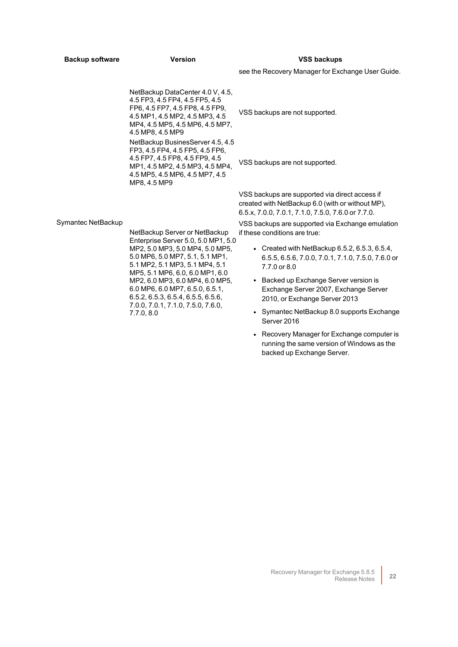| <b>Backup software</b> | <b>Version</b>                                                                                                                                                                                                                                                                                                                                                                               | <b>VSS backups</b>                                                                                                                                       |
|------------------------|----------------------------------------------------------------------------------------------------------------------------------------------------------------------------------------------------------------------------------------------------------------------------------------------------------------------------------------------------------------------------------------------|----------------------------------------------------------------------------------------------------------------------------------------------------------|
|                        |                                                                                                                                                                                                                                                                                                                                                                                              | see the Recovery Manager for Exchange User Guide.                                                                                                        |
| Symantec NetBackup     | NetBackup DataCenter 4.0 V, 4.5,<br>4.5 FP3, 4.5 FP4, 4.5 FP5, 4.5<br>FP6, 4.5 FP7, 4.5 FP8, 4.5 FP9,<br>4.5 MP1, 4.5 MP2, 4.5 MP3, 4.5<br>MP4, 4.5 MP5, 4.5 MP6, 4.5 MP7,<br>4.5 MP8, 4.5 MP9<br>NetBackup BusinesServer 4.5, 4.5<br>FP3, 4.5 FP4, 4.5 FP5, 4.5 FP6,<br>4.5 FP7, 4.5 FP8, 4.5 FP9, 4.5<br>MP1, 4.5 MP2, 4.5 MP3, 4.5 MP4,<br>4.5 MP5, 4.5 MP6, 4.5 MP7, 4.5<br>MP8, 4.5 MP9 | VSS backups are not supported.                                                                                                                           |
|                        |                                                                                                                                                                                                                                                                                                                                                                                              | VSS backups are not supported.                                                                                                                           |
|                        |                                                                                                                                                                                                                                                                                                                                                                                              | VSS backups are supported via direct access if<br>created with NetBackup 6.0 (with or without MP),<br>6.5.x, 7.0.0, 7.0.1, 7.1.0, 7.5.0, 7.6.0 or 7.7.0. |
|                        | NetBackup Server or NetBackup<br>Enterprise Server 5.0, 5.0 MP1, 5.0<br>MP2, 5.0 MP3, 5.0 MP4, 5.0 MP5,<br>5.0 MP6, 5.0 MP7, 5.1, 5.1 MP1,<br>5.1 MP2, 5.1 MP3, 5.1 MP4, 5.1<br>MP5, 5.1 MP6, 6.0, 6.0 MP1, 6.0<br>MP2, 6.0 MP3, 6.0 MP4, 6.0 MP5,<br>6.0 MP6, 6.0 MP7, 6.5.0, 6.5.1,<br>6.5.2, 6.5.3, 6.5.4, 6.5.5, 6.5.6,<br>7.0.0, 7.0.1, 7.1.0, 7.5.0, 7.6.0,<br>7.7.0, 8.0              | VSS backups are supported via Exchange emulation<br>if these conditions are true:                                                                        |
|                        |                                                                                                                                                                                                                                                                                                                                                                                              | • Created with NetBackup $6.5.2, 6.5.3, 6.5.4$<br>6.5.5, 6.5.6, 7.0.0, 7.0.1, 7.1.0, 7.5.0, 7.6.0 or<br>7.7.0 or 8.0                                     |
|                        |                                                                                                                                                                                                                                                                                                                                                                                              | • Backed up Exchange Server version is<br>Exchange Server 2007, Exchange Server<br>2010, or Exchange Server 2013                                         |
|                        |                                                                                                                                                                                                                                                                                                                                                                                              | • Symantec NetBackup 8.0 supports Exchange<br>Server 2016                                                                                                |
|                        |                                                                                                                                                                                                                                                                                                                                                                                              | • Recovery Manager for Exchange computer is<br>running the same version of Windows as the                                                                |

backed up Exchange Server.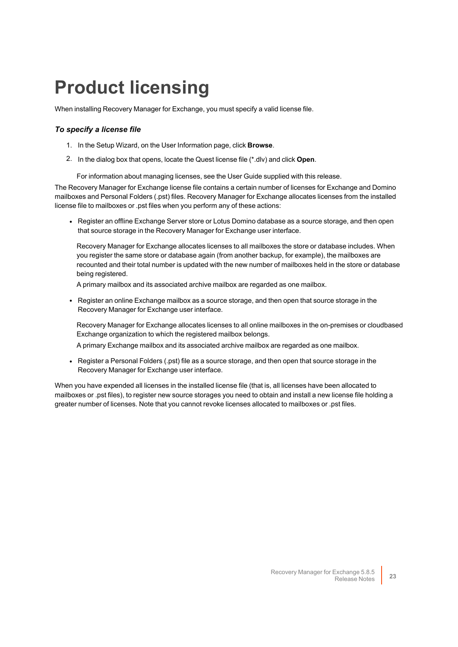# <span id="page-22-0"></span>**Product licensing**

When installing Recovery Manager for Exchange, you must specify a valid license file.

### *To specify a license file*

- 1. In the Setup Wizard, on the User Information page, click **Browse**.
- 2. In the dialog box that opens, locate the Quest license file (\*.dlv) and click **Open**.

For information about managing licenses, see the User Guide supplied with this release.

The Recovery Manager for Exchange license file contains a certain number of licenses for Exchange and Domino mailboxes and Personal Folders (.pst) files. Recovery Manager for Exchange allocates licenses from the installed license file to mailboxes or .pst files when you perform any of these actions:

• Register an offline Exchange Server store or Lotus Domino database as a source storage, and then open that source storage in the Recovery Manager for Exchange user interface.

Recovery Manager for Exchange allocates licenses to all mailboxes the store or database includes. When you register the same store or database again (from another backup, for example), the mailboxes are recounted and their total number is updated with the new number of mailboxes held in the store or database being registered.

A primary mailbox and its associated archive mailbox are regarded as one mailbox.

• Register an online Exchange mailbox as a source storage, and then open that source storage in the Recovery Manager for Exchange user interface.

Recovery Manager for Exchange allocates licenses to all online mailboxes in the on-premises or cloudbased Exchange organization to which the registered mailbox belongs.

A primary Exchange mailbox and its associated archive mailbox are regarded as one mailbox.

• Register a Personal Folders (.pst) file as a source storage, and then open that source storage in the Recovery Manager for Exchange user interface.

When you have expended all licenses in the installed license file (that is, all licenses have been allocated to mailboxes or .pst files), to register new source storages you need to obtain and install a new license file holding a greater number of licenses. Note that you cannot revoke licenses allocated to mailboxes or .pst files.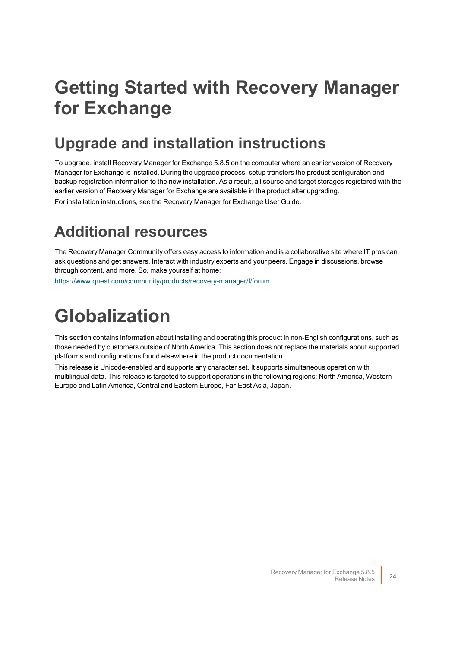# <span id="page-23-0"></span>**Getting Started with Recovery Manager for Exchange**

## **Upgrade and installation instructions**

To upgrade, install Recovery Manager for Exchange 5.8.5 on the computer where an earlier version of Recovery Manager for Exchange is installed. During the upgrade process, setup transfers the product configuration and backup registration information to the new installation. As a result, all source and target storages registered with the earlier version of Recovery Manager for Exchange are available in the product after upgrading. For installation instructions, see the Recovery Manager for Exchange User Guide.

## **Additional resources**

The Recovery Manager Community offers easy access to information and is a collaborative site where IT pros can ask questions and get answers. Interact with industry experts and your peers. Engage in discussions, browse through content, and more. So, make yourself at home:

<span id="page-23-1"></span><https://www.quest.com/community/products/recovery-manager/f/forum>

# **Globalization**

This section contains information about installing and operating this product in non-English configurations, such as those needed by customers outside of North America. This section does not replace the materials about supported platforms and configurations found elsewhere in the product documentation.

This release is Unicode-enabled and supports any character set. It supports simultaneous operation with multilingual data. This release is targeted to support operations in the following regions: North America, Western Europe and Latin America, Central and Eastern Europe, Far-East Asia, Japan.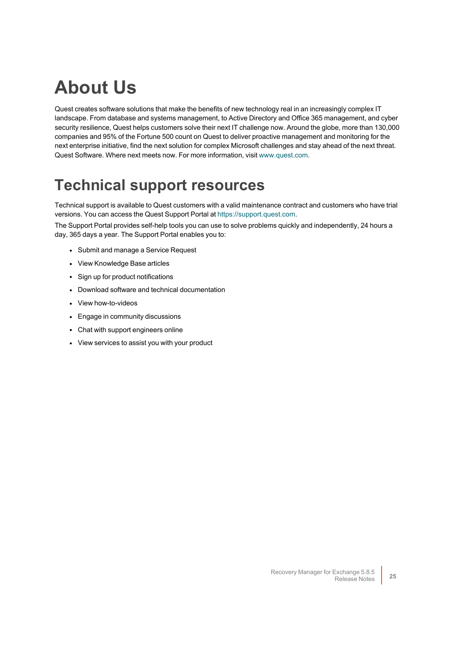# **About Us**

Quest creates software solutions that make the benefits of new technology real in an increasingly complex IT landscape. From database and systems management, to Active Directory and Office 365 management, and cyber security resilience, Quest helps customers solve their next IT challenge now. Around the globe, more than 130,000 companies and 95% of the Fortune 500 count on Quest to deliver proactive management and monitoring for the next enterprise initiative, find the next solution for complex Microsoft challenges and stay ahead of the next threat. Quest Software. Where next meets now. For more information, visit [www.quest.com](https://www.quest.com/).

## **Technical support resources**

Technical support is available to Quest customers with a valid maintenance contract and customers who have trial versions. You can access the Quest Support Portal at [https://support.quest.com.](https://support.quest.com/)

The Support Portal provides self-help tools you can use to solve problems quickly and independently, 24 hours a day, 365 days a year. The Support Portal enables you to:

- Submit and manage a Service Request
- View Knowledge Base articles
- Sign up for product notifications
- Download software and technical documentation
- View how-to-videos
- Engage in community discussions
- Chat with support engineers online
- View services to assist you with your product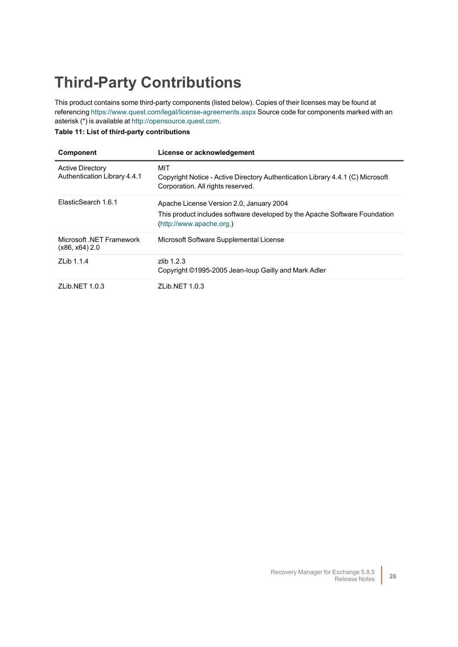# **Third-Party Contributions**

This product contains some third-party components (listed below). Copies of their licenses may be found at referencing <https://www.quest.com/legal/license-agreements.aspx> Source code for components marked with an asterisk (\*) is available at [http://opensource.quest.com.](http://opensource.quest.com/)

### **Table 11: List of third-party contributions**

| <b>Component</b>                                        | License or acknowledgement                                                                                                                         |
|---------------------------------------------------------|----------------------------------------------------------------------------------------------------------------------------------------------------|
| <b>Active Directory</b><br>Authentication Library 4.4.1 | MIT<br>Copyright Notice - Active Directory Authentication Library 4.4.1 (C) Microsoft<br>Corporation. All rights reserved.                         |
| FlasticSearch 1.6.1                                     | Apache License Version 2.0, January 2004<br>This product includes software developed by the Apache Software Foundation<br>(http://www.apache.org.) |
| Microsoft NFT Framework<br>$(x86, x64)$ 2.0             | Microsoft Software Supplemental License                                                                                                            |
| 71 ib 1.1.4                                             | $7$ lib 1.2.3<br>Copyright ©1995-2005 Jean-loup Gailly and Mark Adler                                                                              |
| ZLib.NET 1.0.3                                          | ZLib.NET 1.0.3                                                                                                                                     |